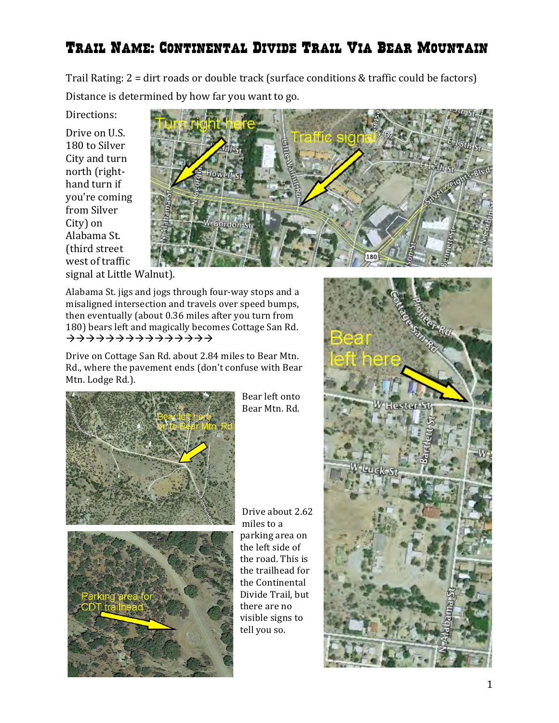## Trail Name: Continental Divide Trail Via Bear Mountain

Trail Rating:  $2 = \text{dirt}$  roads or double track (surface conditions & traffic could be factors) Distance is determined by how far you want to go.

Directions:

Drive on U.S. 180 to Silver City and turn north (righthand turn if you're coming from Silver City) on Alabama St. (third street west of traffic signal at Little Walnut).



Alabama St. jigs and jogs through four-way stops and a misaligned intersection and travels over speed bumps, then eventually (about 0.36 miles after you turn from 180) bears left and magically becomes Cottage San Rd. ààààààààààààààà

Drive on Cottage San Rd. about 2.84 miles to Bear Mtn. Rd., where the pavement ends (don't confuse with Bear Mtn. Lodge Rd.).



Bear left onto Bear Mtn. Rd. 

Drive about 2.62 miles to a parking area on the left side of the road. This is the trailhead for the Continental Divide Trail, but there are no visible signs to tell you so.